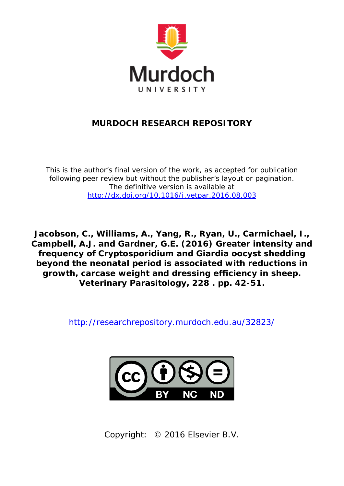

## **MURDOCH RESEARCH REPOSITORY**

*This is the author's final version of the work, as accepted for publication following peer review but without the publisher's layout or pagination. The definitive version is available at <http://dx.doi.org/10.1016/j.vetpar.2016.08.003>*

**Jacobson, C., Williams, A., Yang, R., Ryan, U., Carmichael, I., Campbell, A.J. and Gardner, G.E. (2016) Greater intensity and frequency of Cryptosporidium and Giardia oocyst shedding beyond the neonatal period is associated with reductions in growth, carcase weight and dressing efficiency in sheep. Veterinary Parasitology, 228 . pp. 42-51.**

[http://researchrepository.murdoch.edu.au/32823/](http://researchrepository.murdoch.edu.au/30289/)



Copyright: © 2016 Elsevier B.V.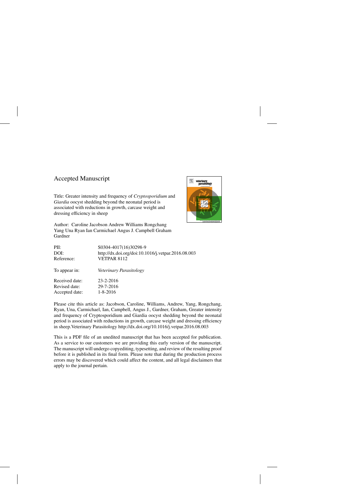## Accepted Manuscript

Title: Greater intensity and frequency of *Cryptosporidium* and *Giardia* oocyst shedding beyond the neonatal period is associated with reductions in growth, carcase weight and dressing efficiency in sheep



Author: Caroline Jacobson Andrew Williams Rongchang Yang Una Ryan Ian Carmichael Angus J. Campbell Graham Gardner

| PII:           | S0304-4017(16)30298-9                              |
|----------------|----------------------------------------------------|
| DOI:           | http://dx.doi.org/doi:10.1016/j.vetpar.2016.08.003 |
| Reference:     | <b>VETPAR 8112</b>                                 |
| To appear in:  | Veterinary Parasitology                            |
| Received date: | $23 - 2 - 2016$                                    |
| Revised date:  | 29-7-2016                                          |
| Accepted date: | $1 - 8 - 2016$                                     |

Please cite this article as: Jacobson, Caroline, Williams, Andrew, Yang, Rongchang, Ryan, Una, Carmichael, Ian, Campbell, Angus J., Gardner, Graham, Greater intensity and frequency of Cryptosporidium and Giardia oocyst shedding beyond the neonatal period is associated with reductions in growth, carcase weight and dressing efficiency in sheep.Veterinary Parasitology<http://dx.doi.org/10.1016/j.vetpar.2016.08.003>

This is a PDF file of an unedited manuscript that has been accepted for publication. As a service to our customers we are providing this early version of the manuscript. The manuscript will undergo copyediting, typesetting, and review of the resulting proof before it is published in its final form. Please note that during the production process errors may be discovered which could affect the content, and all legal disclaimers that apply to the journal pertain.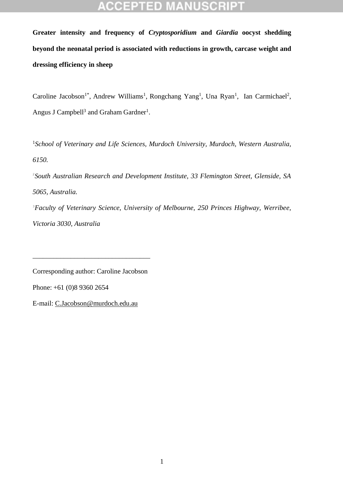# ΞĐ

**Greater intensity and frequency of** *Cryptosporidium* **and** *Giardia* **oocyst shedding beyond the neonatal period is associated with reductions in growth, carcase weight and dressing efficiency in sheep** 

Caroline Jacobson<sup>1\*</sup>, Andrew Williams<sup>1</sup>, Rongchang Yang<sup>1</sup>, Una Ryan<sup>1</sup>, Ian Carmichael<sup>2</sup>, Angus J Campbell<sup>3</sup> and Graham Gardner<sup>1</sup>.

<sup>1</sup>*School of Veterinary and Life Sciences, Murdoch University, Murdoch, Western Australia, 6150.*

2 *South Australian Research and Development Institute, 33 Flemington Street, Glenside, SA 5065, Australia.* <sup>3</sup>*Faculty of Veterinary Science, University of Melbourne, 250 Princes Highway, Werribee,* 

*Victoria 3030, Australia*

Corresponding author: Caroline Jacobson

\_\_\_\_\_\_\_\_\_\_\_\_\_\_\_\_\_\_\_\_\_\_\_\_\_\_\_\_\_\_\_\_\_\_

Phone: +61 (0)8 9360 2654

E-mail: [C.Jacobson@murdoch.edu.au](mailto:C.Jacobson@murdoch.edu.au)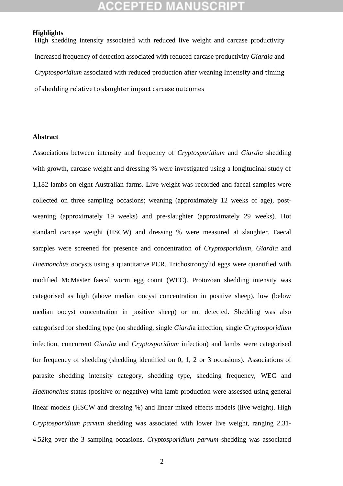## **CCEPTED MANUSCRI**

### **Highlights**

High shedding intensity associated with reduced live weight and carcase productivity Increased frequency of detection associated with reduced carcase productivity *Giardia* and *Cryptosporidium* associated with reduced production after weaning Intensity and timing of shedding relative to slaughter impact carcase outcomes

### **Abstract**

Associations between intensity and frequency of *Cryptosporidium* and *Giardia* shedding with growth, carcase weight and dressing % were investigated using a longitudinal study of 1,182 lambs on eight Australian farms. Live weight was recorded and faecal samples were collected on three sampling occasions; weaning (approximately 12 weeks of age), postweaning (approximately 19 weeks) and pre-slaughter (approximately 29 weeks). Hot standard carcase weight (HSCW) and dressing % were measured at slaughter. Faecal samples were screened for presence and concentration of *Cryptosporidium, Giardia* and *Haemonchus* oocysts using a quantitative PCR. Trichostrongylid eggs were quantified with modified McMaster faecal worm egg count (WEC). Protozoan shedding intensity was categorised as high (above median oocyst concentration in positive sheep), low (below median oocyst concentration in positive sheep) or not detected. Shedding was also categorised for shedding type (no shedding, single *Giardi*a infection, single *Cryptosporidium* infection, concurrent *Giardia* and *Cryptosporidium* infection) and lambs were categorised for frequency of shedding (shedding identified on 0, 1, 2 or 3 occasions). Associations of parasite shedding intensity category, shedding type, shedding frequency, WEC and *Haemonchus* status (positive or negative) with lamb production were assessed using general linear models (HSCW and dressing %) and linear mixed effects models (live weight). High *Cryptosporidium parvum* shedding was associated with lower live weight, ranging 2.31- 4.52kg over the 3 sampling occasions. *Cryptosporidium parvum* shedding was associated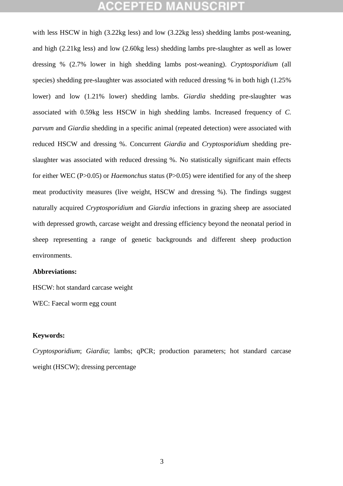## CCEPTED

with less HSCW in high (3.22kg less) and low (3.22kg less) shedding lambs post-weaning, and high (2.21kg less) and low (2.60kg less) shedding lambs pre-slaughter as well as lower dressing % (2.7% lower in high shedding lambs post-weaning). *Cryptosporidium* (all species) shedding pre-slaughter was associated with reduced dressing % in both high (1.25% lower) and low (1.21% lower) shedding lambs. *Giardia* shedding pre-slaughter was associated with 0.59kg less HSCW in high shedding lambs. Increased frequency of *C. parvum* and *Giardia* shedding in a specific animal (repeated detection) were associated with reduced HSCW and dressing %. Concurrent *Giardia* and *Cryptosporidium* shedding preslaughter was associated with reduced dressing %. No statistically significant main effects for either WEC (P>0.05) or *Haemonchus* status (P>0.05) were identified for any of the sheep meat productivity measures (live weight, HSCW and dressing %). The findings suggest naturally acquired *Cryptosporidium* and *Giardia* infections in grazing sheep are associated with depressed growth, carcase weight and dressing efficiency beyond the neonatal period in sheep representing a range of genetic backgrounds and different sheep production environments.

## **Abbreviations:**

HSCW: hot standard carcase weight

WEC: Faecal worm egg count

## **Keywords:**

*Cryptosporidium*; *Giardia*; lambs; qPCR; production parameters; hot standard carcase weight (HSCW); dressing percentage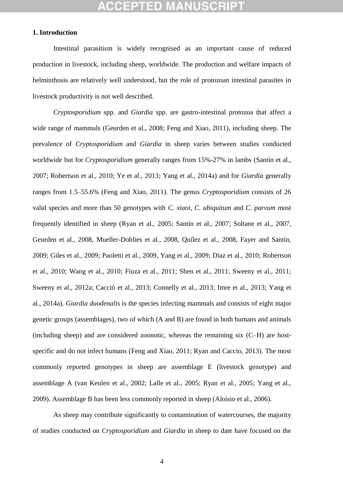## CCEPTED M

## **1. Introduction**

Intestinal parasitism is widely recognised as an important cause of reduced production in livestock, including sheep, worldwide. The production and welfare impacts of helminthosis are relatively well understood, but the role of protozoan intestinal parasites in livestock productivity is not well described.

*Cryptosporidium* spp*.* and *Giardia* spp. are gastro-intestinal protozoa that affect a wide range of mammals (Geurden et al., 2008; Feng and Xiao, 2011), including sheep. The prevalence of *Cryptosporidium* and *Giardia* in sheep varies between studies conducted worldwide but for *Cryptosporidium* generally ranges from 15%-27% in lambs (Santín et al., 2007; Robertson et al., 2010; Ye et al., 2013; Yang et al., 2014a) and for *Giardia* generally ranges from 1.5–55.6% (Feng and Xiao, 2011). The genus *Cryptosporidium* consists of 26 valid species and more than 50 genotypes with *C. xiaoi*, *C. ubiquitum* and *C. parvum* most frequently identified in sheep (Ryan et al., 2005; Santín et al., 2007; Soltane et al., 2007, Geurden et al., 2008, Mueller-Doblies et al., 2008, Quílez et al., 2008, Fayer and Santín, 2009; Giles et al., 2009; Paoletti et al., 2009, Yang et al., 2009; Díaz et al., 2010; Robertson et al., 2010; Wang et al., 2010; Fiuza et al., 2011; Shen et al., 2011; Sweeny et al., 2011; Sweeny et al., 2012a; Cacciò et al., 2013; Connelly et al., 2013; Imre et al., 2013; Yang et al., 2014a). *Giardia duodenalis* is the species infecting mammals and consists of eight major genetic groups (assemblages), two of which (A and B) are found in both humans and animals (including sheep) and are considered zoonotic, whereas the remaining six (C–H) are hostspecific and do not infect humans (Feng and Xiao, 2011; Ryan and Caccio, 2013). The most commonly reported genotypes in sheep are assemblage E (livestock genotype) and assemblage A (van Keulen et al., 2002; Lalle et al., 2005; Ryan et al., 2005; Yang et al., 2009). Assemblage B has been less commonly reported in sheep (Aloisio et al., 2006).

As sheep may contribute significantly to contamination of watercourses, the majority of studies conducted on *Cryptosporidium* and *Giardia* in sheep to date have focused on the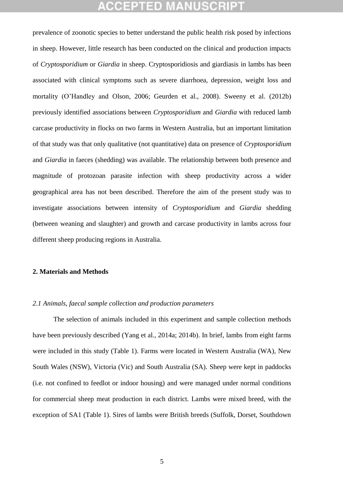prevalence of zoonotic species to better understand the public health risk posed by infections in sheep. However, little research has been conducted on the clinical and production impacts of *Cryptosporidium* or *Giardia* in sheep. Cryptosporidiosis and giardiasis in lambs has been associated with clinical symptoms such as severe diarrhoea, depression, weight loss and mortality (O'Handley and Olson, 2006; Geurden et al., 2008). Sweeny et al. (2012b) previously identified associations between *Cryptosporidium* and *Giardia* with reduced lamb carcase productivity in flocks on two farms in Western Australia, but an important limitation of that study was that only qualitative (not quantitative) data on presence of *Cryptosporidium* and *Giardia* in faeces (shedding) was available. The relationship between both presence and magnitude of protozoan parasite infection with sheep productivity across a wider geographical area has not been described. Therefore the aim of the present study was to investigate associations between intensity of *Cryptosporidium* and *Giardia* shedding (between weaning and slaughter) and growth and carcase productivity in lambs across four different sheep producing regions in Australia.

### **2. Materials and Methods**

### *2.1 Animals, faecal sample collection and production parameters*

The selection of animals included in this experiment and sample collection methods have been previously described (Yang et al., 2014a; 2014b). In brief, lambs from eight farms were included in this study (Table 1). Farms were located in Western Australia (WA), New South Wales (NSW), Victoria (Vic) and South Australia (SA). Sheep were kept in paddocks (i.e. not confined to feedlot or indoor housing) and were managed under normal conditions for commercial sheep meat production in each district. Lambs were mixed breed, with the exception of SA1 (Table 1). Sires of lambs were British breeds (Suffolk, Dorset, Southdown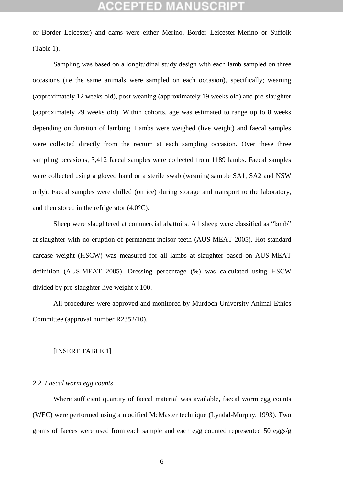or Border Leicester) and dams were either Merino, Border Leicester-Merino or Suffolk (Table 1).

Sampling was based on a longitudinal study design with each lamb sampled on three occasions (i.e the same animals were sampled on each occasion), specifically; weaning (approximately 12 weeks old), post-weaning (approximately 19 weeks old) and pre-slaughter (approximately 29 weeks old). Within cohorts, age was estimated to range up to 8 weeks depending on duration of lambing. Lambs were weighed (live weight) and faecal samples were collected directly from the rectum at each sampling occasion. Over these three sampling occasions, 3,412 faecal samples were collected from 1189 lambs. Faecal samples were collected using a gloved hand or a sterile swab (weaning sample SA1, SA2 and NSW only). Faecal samples were chilled (on ice) during storage and transport to the laboratory, and then stored in the refrigerator (4.0°C).

Sheep were slaughtered at commercial abattoirs. All sheep were classified as "lamb" at slaughter with no eruption of permanent incisor teeth (AUS-MEAT 2005). Hot standard carcase weight (HSCW) was measured for all lambs at slaughter based on AUS-MEAT definition (AUS-MEAT 2005). Dressing percentage (%) was calculated using HSCW divided by pre-slaughter live weight x 100.

All procedures were approved and monitored by Murdoch University Animal Ethics Committee (approval number R2352/10).

### [INSERT TABLE 1]

### *2.2. Faecal worm egg counts*

Where sufficient quantity of faecal material was available, faecal worm egg counts (WEC) were performed using a modified McMaster technique (Lyndal-Murphy, 1993). Two grams of faeces were used from each sample and each egg counted represented 50 eggs/g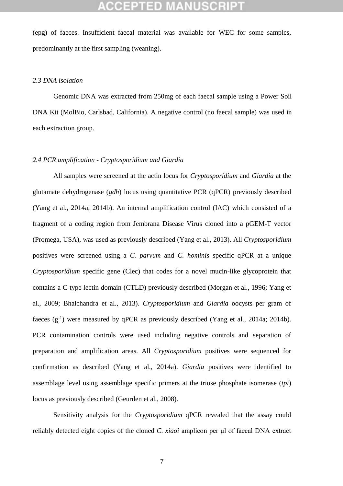## CEPTED)

(epg) of faeces. Insufficient faecal material was available for WEC for some samples, predominantly at the first sampling (weaning).

## *2.3 DNA isolation*

Genomic DNA was extracted from 250mg of each faecal sample using a Power Soil DNA Kit (MolBio, Carlsbad, California). A negative control (no faecal sample) was used in each extraction group.

### *2.4 PCR amplification - Cryptosporidium and Giardia*

All samples were screened at the actin locus for *Cryptosporidium* and *Giardia* at the glutamate dehydrogenase (*gdh*) locus using quantitative PCR (qPCR) previously described (Yang et al., 2014a; 2014b). An internal amplification control (IAC) which consisted of a fragment of a coding region from Jembrana Disease Virus cloned into a pGEM-T vector (Promega, USA), was used as previously described (Yang et al., 2013). All *Cryptosporidium* positives were screened using a *C. parvum* and *C. hominis* specific qPCR at a unique *Cryptosporidium* specific gene (Clec) that codes for a novel mucin-like glycoprotein that contains a C-type lectin domain (CTLD) previously described (Morgan et al., 1996; Yang et al., 2009; Bhalchandra et al., 2013). *Cryptosporidium* and *Giardia* oocysts per gram of faeces  $(g^{-1})$  were measured by qPCR as previously described (Yang et al., 2014a; 2014b). PCR contamination controls were used including negative controls and separation of preparation and amplification areas. All *Cryptosporidium* positives were sequenced for confirmation as described (Yang et al., 2014a). *Giardia* positives were identified to assemblage level using assemblage specific primers at the triose phosphate isomerase (*tpi*) locus as previously described (Geurden et al., 2008).

Sensitivity analysis for the *Cryptosporidium* qPCR revealed that the assay could reliably detected eight copies of the cloned *C. xiaoi* amplicon per μl of faecal DNA extract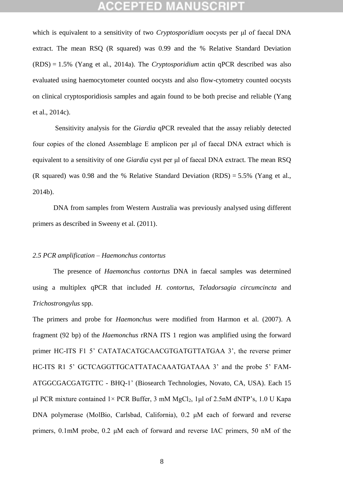## (CCEPTED M

which is equivalent to a sensitivity of two *Cryptosporidium* oocysts per μl of faecal DNA extract. The mean RSQ (R squared) was 0.99 and the % Relative Standard Deviation (RDS) = 1.5% (Yang et al., 2014a). The *Cryptosporidium* actin qPCR described was also evaluated using haemocytometer counted oocysts and also flow-cytometry counted oocysts on clinical cryptosporidiosis samples and again found to be both precise and reliable (Yang et al., 2014c).

Sensitivity analysis for the *Giardia* qPCR revealed that the assay reliably detected four copies of the cloned Assemblage E amplicon per μl of faecal DNA extract which is equivalent to a sensitivity of one *Giardia* cyst per μl of faecal DNA extract. The mean RSQ (R squared) was 0.98 and the % Relative Standard Deviation (RDS) = 5.5% (Yang et al., 2014b).

DNA from samples from Western Australia was previously analysed using different primers as described in Sweeny et al. (2011).

## *2.5 PCR amplification – Haemonchus contortus*

The presence of *Haemonchus contortus* DNA in faecal samples was determined using a multiplex qPCR that included *H. contortus*, *Teladorsagia circumcincta* and *Trichostrongylus* spp.

The primers and probe for *Haemonchus* were modified from Harmon et al. (2007). A fragment (92 bp) of the *Haemonchus* rRNA ITS 1 region was amplified using the forward primer HC-ITS F1 5' CATATACATGCAACGTGATGTTATGAA 3', the reverse primer HC-ITS R1 5' GCTCAGGTTGCATTATACAAATGATAAA 3' and the probe 5' FAM-ATGGCGACGATGTTC - BHQ-1' (Biosearch Technologies, Novato, CA, USA). Each 15 μl PCR mixture contained  $1 \times$  PCR Buffer, 3 mM MgCl<sub>2</sub>, 1μl of 2.5nM dNTP's, 1.0 U Kapa DNA polymerase (MolBio, Carlsbad, California), 0.2 μM each of forward and reverse primers, 0.1mM probe, 0.2 μM each of forward and reverse IAC primers, 50 nM of the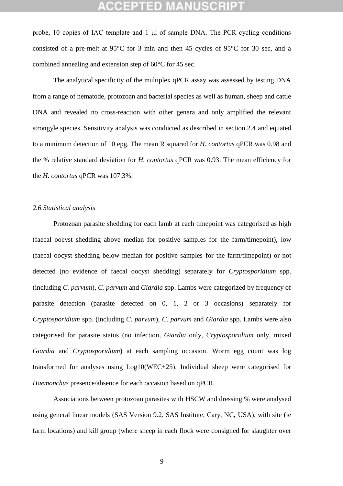## CCEPTED M

probe, 10 copies of IAC template and 1 μl of sample DNA. The PCR cycling conditions consisted of a pre-melt at 95°C for 3 min and then 45 cycles of 95°C for 30 sec, and a combined annealing and extension step of 60°C for 45 sec.

The analytical specificity of the multiplex qPCR assay was assessed by testing DNA from a range of nematode, protozoan and bacterial species as well as human, sheep and cattle DNA and revealed no cross-reaction with other genera and only amplified the relevant strongyle species. Sensitivity analysis was conducted as described in section 2.4 and equated to a minimum detection of 10 epg. The mean R squared for *H. contortus* qPCR was 0.98 and the % relative standard deviation for *H. contortus* qPCR was 0.93. The mean efficiency for the *H. contortus* qPCR was 107.3%.

## *2.6 Statistical analysis*

Protozoan parasite shedding for each lamb at each timepoint was categorised as high (faecal oocyst shedding above median for positive samples for the farm/timepoint), low (faecal oocyst shedding below median for positive samples for the farm/timepoint) or not detected (no evidence of faecal oocyst shedding) separately for *Cryptosporidium* spp. (including *C. parvum*), *C. parvum* and *Giardia* spp. Lambs were categorized by frequency of parasite detection (parasite detected on 0, 1, 2 or 3 occasions) separately for *Cryptosporidium* spp. (including *C. parvum*), *C. parvum* and *Giardia* spp. Lambs were also categorised for parasite status (no infection, *Giardia* only, *Cryptosporidium* only, mixed *Giardia* and *Cryptosporidium*) at each sampling occasion. Worm egg count was log transformed for analyses using Log10(WEC+25). Individual sheep were categorised for *Haemonchus* presence/absence for each occasion based on qPCR.

Associations between protozoan parasites with HSCW and dressing % were analysed using general linear models (SAS Version 9.2, SAS Institute, Cary, NC, USA), with site (ie farm locations) and kill group (where sheep in each flock were consigned for slaughter over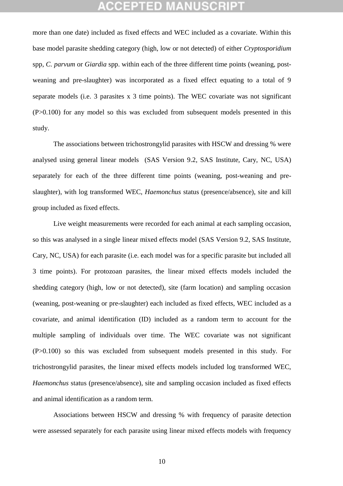## **CEPTED:**

more than one date) included as fixed effects and WEC included as a covariate. Within this base model parasite shedding category (high, low or not detected) of either *Cryptosporidium*  spp, *C. parvum* or *Giardia* spp. within each of the three different time points (weaning, postweaning and pre-slaughter) was incorporated as a fixed effect equating to a total of 9 separate models (i.e. 3 parasites x 3 time points). The WEC covariate was not significant (P>0.100) for any model so this was excluded from subsequent models presented in this study.

The associations between trichostrongylid parasites with HSCW and dressing % were analysed using general linear models (SAS Version 9.2, SAS Institute, Cary, NC, USA) separately for each of the three different time points (weaning, post-weaning and preslaughter), with log transformed WEC, *Haemonchus* status (presence/absence), site and kill group included as fixed effects.

Live weight measurements were recorded for each animal at each sampling occasion, so this was analysed in a single linear mixed effects model (SAS Version 9.2, SAS Institute, Cary, NC, USA) for each parasite (i.e. each model was for a specific parasite but included all 3 time points). For protozoan parasites, the linear mixed effects models included the shedding category (high, low or not detected), site (farm location) and sampling occasion (weaning, post-weaning or pre-slaughter) each included as fixed effects, WEC included as a covariate, and animal identification (ID) included as a random term to account for the multiple sampling of individuals over time. The WEC covariate was not significant (P>0.100) so this was excluded from subsequent models presented in this study. For trichostrongylid parasites, the linear mixed effects models included log transformed WEC, *Haemonchus* status (presence/absence), site and sampling occasion included as fixed effects and animal identification as a random term.

Associations between HSCW and dressing % with frequency of parasite detection were assessed separately for each parasite using linear mixed effects models with frequency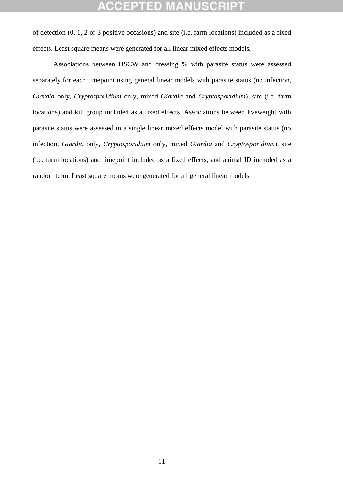of detection (0, 1, 2 or 3 positive occasions) and site (i.e. farm locations) included as a fixed effects. Least square means were generated for all linear mixed effects models.

Associations between HSCW and dressing % with parasite status were assessed separately for each timepoint using general linear models with parasite status (no infection, *Giardia* only, *Cryptosporidium* only, mixed *Giardia* and *Cryptosporidium*), site (i.e. farm locations) and kill group included as a fixed effects. Associations between liveweight with parasite status were assessed in a single linear mixed effects model with parasite status (no infection, *Giardia* only, *Cryptosporidium* only, mixed *Giardia* and *Cryptosporidium*), site (i.e. farm locations) and timepoint included as a fixed effects, and animal ID included as a random term. Least square means were generated for all general linear models.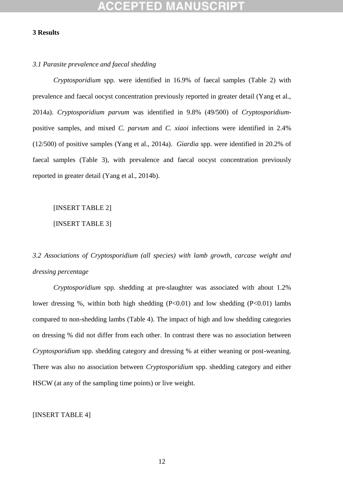### **3 Results**

### *3.1 Parasite prevalence and faecal shedding*

*Cryptosporidium* spp. were identified in 16.9% of faecal samples (Table 2) with prevalence and faecal oocyst concentration previously reported in greater detail (Yang et al., 2014a). *Cryptosporidium parvum* was identified in 9.8% (49/500) of *Cryptosporidium*positive samples, and mixed *C. parvum* and *C. xiaoi* infections were identified in 2.4% (12/500) of positive samples (Yang et al., 2014a). *Giardia* spp. were identified in 20.2% of faecal samples (Table 3), with prevalence and faecal oocyst concentration previously reported in greater detail (Yang et al., 2014b).

## [INSERT TABLE 2]

[INSERT TABLE 3]

## *3.2 Associations of Cryptosporidium (all species) with lamb growth, carcase weight and dressing percentage*

*Cryptosporidium* spp. shedding at pre-slaughter was associated with about 1.2% lower dressing %, within both high shedding  $(P<0.01)$  and low shedding  $(P<0.01)$  lambs compared to non-shedding lambs (Table 4). The impact of high and low shedding categories on dressing % did not differ from each other. In contrast there was no association between *Cryptosporidium* spp. shedding category and dressing % at either weaning or post-weaning. There was also no association between *Cryptosporidium* spp. shedding category and either HSCW (at any of the sampling time points) or live weight.

## [INSERT TABLE 4]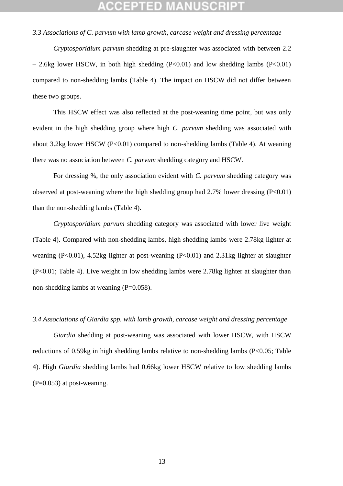*3.3 Associations of C. parvum with lamb growth, carcase weight and dressing percentage*

*Cryptosporidium parvum* shedding at pre-slaughter was associated with between 2.2  $-$  2.6kg lower HSCW, in both high shedding (P<0.01) and low shedding lambs (P<0.01) compared to non-shedding lambs (Table 4). The impact on HSCW did not differ between these two groups.

This HSCW effect was also reflected at the post-weaning time point, but was only evident in the high shedding group where high *C. parvum* shedding was associated with about 3.2kg lower HSCW  $(P<0.01)$  compared to non-shedding lambs (Table 4). At weaning there was no association between *C. parvum* shedding category and HSCW.

For dressing %, the only association evident with *C. parvum* shedding category was observed at post-weaning where the high shedding group had  $2.7\%$  lower dressing (P<0.01) than the non-shedding lambs (Table 4).

*Cryptosporidium parvum* shedding category was associated with lower live weight (Table 4). Compared with non-shedding lambs, high shedding lambs were 2.78kg lighter at weaning (P<0.01), 4.52kg lighter at post-weaning (P<0.01) and 2.31kg lighter at slaughter (P<0.01; Table 4). Live weight in low shedding lambs were 2.78kg lighter at slaughter than non-shedding lambs at weaning (P=0.058).

### *3.4 Associations of Giardia spp. with lamb growth, carcase weight and dressing percentage*

*Giardia* shedding at post-weaning was associated with lower HSCW, with HSCW reductions of 0.59kg in high shedding lambs relative to non-shedding lambs (P<0.05; Table 4). High *Giardia* shedding lambs had 0.66kg lower HSCW relative to low shedding lambs  $(P=0.053)$  at post-weaning.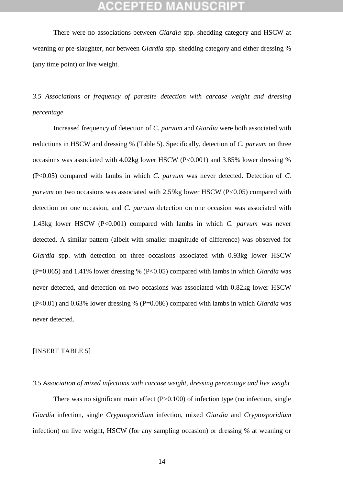There were no associations between *Giardia* spp. shedding category and HSCW at weaning or pre-slaughter, nor between *Giardia* spp. shedding category and either dressing % (any time point) or live weight.

## *3.5 Associations of frequency of parasite detection with carcase weight and dressing percentage*

Increased frequency of detection of *C. parvum* and *Giardia* were both associated with reductions in HSCW and dressing % (Table 5). Specifically, detection of *C. parvum* on three occasions was associated with 4.02kg lower HSCW (P<0.001) and 3.85% lower dressing % (P<0.05) compared with lambs in which *C. parvum* was never detected. Detection of *C. parvum* on two occasions was associated with 2.59kg lower HSCW (P<0.05) compared with detection on one occasion, and *C. parvum* detection on one occasion was associated with 1.43kg lower HSCW (P<0.001) compared with lambs in which *C. parvum* was never detected. A similar pattern (albeit with smaller magnitude of difference) was observed for *Giardia* spp. with detection on three occasions associated with 0.93kg lower HSCW (P=0.065) and 1.41% lower dressing % (P<0.05) compared with lambs in which *Giardia* was never detected, and detection on two occasions was associated with 0.82kg lower HSCW (P<0.01) and 0.63% lower dressing % (P=0.086) compared with lambs in which *Giardia* was never detected.

### [INSERT TABLE 5]

## *3.5 Association of mixed infections with carcase weight, dressing percentage and live weight*

There was no significant main effect  $(P>0.100)$  of infection type (no infection, single *Giardi*a infection, single *Cryptosporidium* infection, mixed *Giardia* and *Cryptosporidium* infection) on live weight, HSCW (for any sampling occasion) or dressing % at weaning or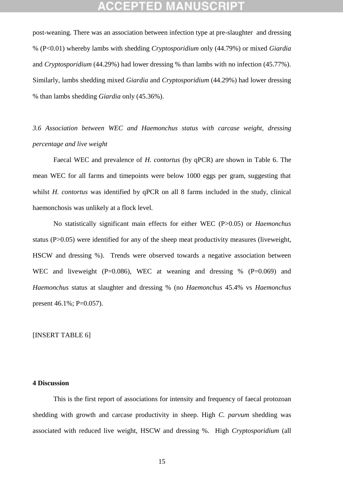post-weaning. There was an association between infection type at pre-slaughter and dressing % (P<0.01) whereby lambs with shedding *Cryptosporidium* only (44.79%) or mixed *Giardia* and *Cryptosporidium* (44.29%) had lower dressing % than lambs with no infection (45.77%). Similarly, lambs shedding mixed *Giardia* and *Cryptosporidium* (44.29%) had lower dressing % than lambs shedding *Giardia* only (45.36%).

*3.6 Association between WEC and Haemonchus status with carcase weight, dressing percentage and live weight*

Faecal WEC and prevalence of *H. contortus* (by qPCR) are shown in Table 6. The mean WEC for all farms and timepoints were below 1000 eggs per gram, suggesting that whilst *H. contortus* was identified by qPCR on all 8 farms included in the study, clinical haemonchosis was unlikely at a flock level.

No statistically significant main effects for either WEC (P>0.05) or *Haemonchus* status (P>0.05) were identified for any of the sheep meat productivity measures (liveweight, HSCW and dressing %). Trends were observed towards a negative association between WEC and liveweight (P=0.086), WEC at weaning and dressing  $\%$  (P=0.069) and *Haemonchus* status at slaughter and dressing % (no *Haemonchus* 45.4% vs *Haemonchus* present 46.1%; P=0.057).

### [INSERT TABLE 6]

## **4 Discussion**

This is the first report of associations for intensity and frequency of faecal protozoan shedding with growth and carcase productivity in sheep. High *C. parvum* shedding was associated with reduced live weight, HSCW and dressing %. High *Cryptosporidium* (all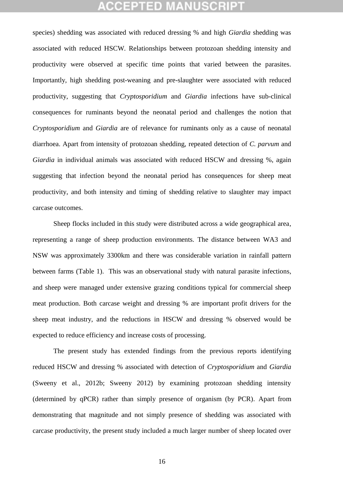## **CCEPTED MANUSCR**

species) shedding was associated with reduced dressing % and high *Giardia* shedding was associated with reduced HSCW. Relationships between protozoan shedding intensity and productivity were observed at specific time points that varied between the parasites. Importantly, high shedding post-weaning and pre-slaughter were associated with reduced productivity, suggesting that *Cryptosporidium* and *Giardia* infections have sub-clinical consequences for ruminants beyond the neonatal period and challenges the notion that *Cryptosporidium* and *Giardia* are of relevance for ruminants only as a cause of neonatal diarrhoea. Apart from intensity of protozoan shedding, repeated detection of *C. parvum* and *Giardia* in individual animals was associated with reduced HSCW and dressing %, again suggesting that infection beyond the neonatal period has consequences for sheep meat productivity, and both intensity and timing of shedding relative to slaughter may impact carcase outcomes.

Sheep flocks included in this study were distributed across a wide geographical area, representing a range of sheep production environments. The distance between WA3 and NSW was approximately 3300km and there was considerable variation in rainfall pattern between farms (Table 1). This was an observational study with natural parasite infections, and sheep were managed under extensive grazing conditions typical for commercial sheep meat production. Both carcase weight and dressing % are important profit drivers for the sheep meat industry, and the reductions in HSCW and dressing % observed would be expected to reduce efficiency and increase costs of processing.

The present study has extended findings from the previous reports identifying reduced HSCW and dressing % associated with detection of *Cryptosporidium* and *Giardia* (Sweeny et al., 2012b; Sweeny 2012) by examining protozoan shedding intensity (determined by qPCR) rather than simply presence of organism (by PCR)*.* Apart from demonstrating that magnitude and not simply presence of shedding was associated with carcase productivity, the present study included a much larger number of sheep located over

16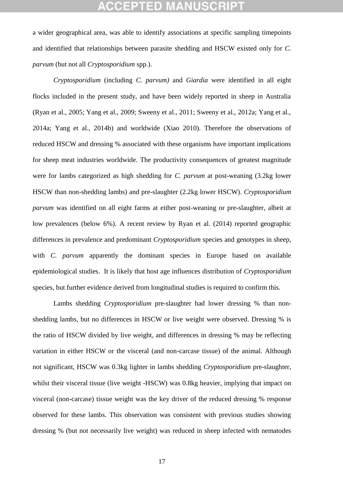## **CCEPTED**

a wider geographical area, was able to identify associations at specific sampling timepoints and identified that relationships between parasite shedding and HSCW existed only for *C. parvum* (but not all *Cryptosporidium* spp.).

*Cryptosporidium* (including *C. parvum)* and *Giardia* were identified in all eight flocks included in the present study, and have been widely reported in sheep in Australia (Ryan et al., 2005; Yang et al., 2009; Sweeny et al., 2011; Sweeny et al., 2012a; Yang et al., 2014a; Yang et al., 2014b) and worldwide (Xiao 2010). Therefore the observations of reduced HSCW and dressing % associated with these organisms have important implications for sheep meat industries worldwide. The productivity consequences of greatest magnitude were for lambs categorized as high shedding for *C. parvum* at post-weaning (3.2kg lower HSCW than non-shedding lambs) and pre-slaughter (2.2kg lower HSCW). *Cryptosporidium parvum* was identified on all eight farms at either post-weaning or pre-slaughter, albeit at low prevalences (below 6%). A recent review by Ryan et al. (2014) reported geographic differences in prevalence and predominant *Cryptosporidium* species and genotypes in sheep, with *C. parvum* apparently the dominant species in Europe based on available epidemiological studies. It is likely that host age influences distribution of *Cryptosporidium* species, but further evidence derived from longitudinal studies is required to confirm this.

Lambs shedding *Cryptosporidium* pre-slaughter had lower dressing % than nonshedding lambs, but no differences in HSCW or live weight were observed. Dressing % is the ratio of HSCW divided by live weight, and differences in dressing % may be reflecting variation in either HSCW or the visceral (and non-carcase tissue) of the animal. Although not significant, HSCW was 0.3kg lighter in lambs shedding *Cryptosporidium* pre-slaughter, whilst their visceral tissue (live weight -HSCW) was 0.8kg heavier, implying that impact on visceral (non-carcase) tissue weight was the key driver of the reduced dressing % response observed for these lambs. This observation was consistent with previous studies showing dressing % (but not necessarily live weight) was reduced in sheep infected with nematodes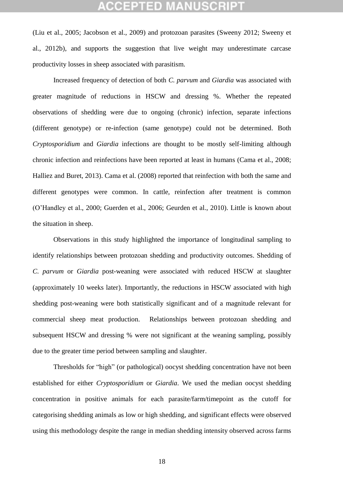## **CCEPTED MANUSCRI**

(Liu et al., 2005; Jacobson et al., 2009) and protozoan parasites (Sweeny 2012; Sweeny et al., 2012b), and supports the suggestion that live weight may underestimate carcase productivity losses in sheep associated with parasitism.

Increased frequency of detection of both *C. parvum* and *Giardia* was associated with greater magnitude of reductions in HSCW and dressing %. Whether the repeated observations of shedding were due to ongoing (chronic) infection, separate infections (different genotype) or re-infection (same genotype) could not be determined. Both *Cryptosporidium* and *Giardia* infections are thought to be mostly self-limiting although chronic infection and reinfections have been reported at least in humans (Cama et al., 2008; Halliez and Buret, 2013). Cama et al. (2008) reported that reinfection with both the same and different genotypes were common. In cattle, reinfection after treatment is common (O'Handley et al., 2000; Guerden et al., 2006; Geurden et al., 2010). Little is known about the situation in sheep.

Observations in this study highlighted the importance of longitudinal sampling to identify relationships between protozoan shedding and productivity outcomes. Shedding of *C. parvum* or *Giardia* post-weaning were associated with reduced HSCW at slaughter (approximately 10 weeks later). Importantly, the reductions in HSCW associated with high shedding post-weaning were both statistically significant and of a magnitude relevant for commercial sheep meat production. Relationships between protozoan shedding and subsequent HSCW and dressing % were not significant at the weaning sampling, possibly due to the greater time period between sampling and slaughter.

Thresholds for "high" (or pathological) oocyst shedding concentration have not been established for either *Cryptosporidium* or *Giardia*. We used the median oocyst shedding concentration in positive animals for each parasite/farm/timepoint as the cutoff for categorising shedding animals as low or high shedding, and significant effects were observed using this methodology despite the range in median shedding intensity observed across farms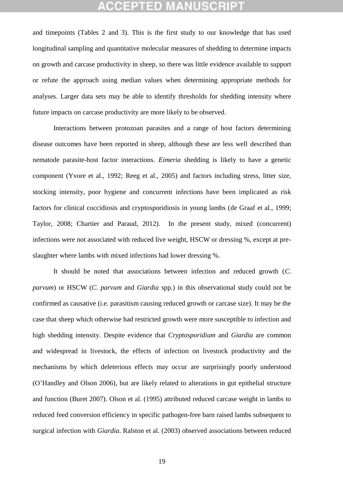## CCEPTED M

and timepoints (Tables 2 and 3). This is the first study to our knowledge that has used longitudinal sampling and quantitative molecular measures of shedding to determine impacts on growth and carcase productivity in sheep, so there was little evidence available to support or refute the approach using median values when determining appropriate methods for analyses. Larger data sets may be able to identify thresholds for shedding intensity where future impacts on carcase productivity are more likely to be observed.

Interactions between protozoan parasites and a range of host factors determining disease outcomes have been reported in sheep, although these are less well described than nematode parasite-host factor interactions. *Eimeria* shedding is likely to have a genetic component (Yvore et al., 1992; Reeg et al., 2005) and factors including stress, litter size, stocking intensity, poor hygiene and concurrent infections have been implicated as risk factors for clinical coccidiosis and cryptosporidiosis in young lambs (de Graaf et al., 1999; Taylor, 2008; Chartier and Paraud, 2012). In the present study, mixed (concurrent) infections were not associated with reduced live weight, HSCW or dressing %, except at preslaughter where lambs with mixed infections had lower dressing %.

It should be noted that associations between infection and reduced growth (*C. parvum*) or HSCW (*C. parvum* and *Giardia* spp*.*) in this observational study could not be confirmed as causative (i.e. parasitism causing reduced growth or carcase size). It may be the case that sheep which otherwise had restricted growth were more susceptible to infection and high shedding intensity. Despite evidence that *Cryptosporidium* and *Giardia* are common and widespread in livestock, the effects of infection on livestock productivity and the mechanisms by which deleterious effects may occur are surprisingly poorly understood (O'Handley and Olson 2006), but are likely related to alterations in gut epithelial structure and function (Buret 2007). Olson et al. (1995) attributed reduced carcase weight in lambs to reduced feed conversion efficiency in specific pathogen-free barn raised lambs subsequent to surgical infection with *Giardia*. Ralston et al. (2003) observed associations between reduced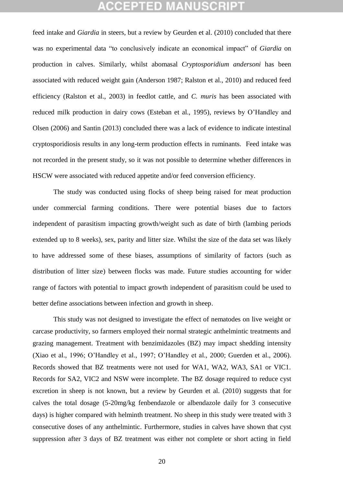feed intake and *Giardia* in steers, but a review by Geurden et al. (2010) concluded that there was no experimental data "to conclusively indicate an economical impact" of *Giardia* on production in calves. Similarly, whilst abomasal *Cryptosporidium andersoni* has been associated with reduced weight gain (Anderson 1987; Ralston et al., 2010) and reduced feed efficiency (Ralston et al., 2003) in feedlot cattle, and *C. muris* has been associated with reduced milk production in dairy cows (Esteban et al., 1995), reviews by O'Handley and Olsen (2006) and Santin (2013) concluded there was a lack of evidence to indicate intestinal cryptosporidiosis results in any long-term production effects in ruminants. Feed intake was not recorded in the present study, so it was not possible to determine whether differences in HSCW were associated with reduced appetite and/or feed conversion efficiency.

The study was conducted using flocks of sheep being raised for meat production under commercial farming conditions. There were potential biases due to factors independent of parasitism impacting growth/weight such as date of birth (lambing periods extended up to 8 weeks), sex, parity and litter size. Whilst the size of the data set was likely to have addressed some of these biases, assumptions of similarity of factors (such as distribution of litter size) between flocks was made. Future studies accounting for wider range of factors with potential to impact growth independent of parasitism could be used to better define associations between infection and growth in sheep.

This study was not designed to investigate the effect of nematodes on live weight or carcase productivity, so farmers employed their normal strategic anthelmintic treatments and grazing management. Treatment with benzimidazoles (BZ) may impact shedding intensity (Xiao et al., 1996; O'Handley et al., 1997; O'Handley et al., 2000; Guerden et al., 2006). Records showed that BZ treatments were not used for WA1, WA2, WA3, SA1 or VIC1. Records for SA2, VIC2 and NSW were incomplete. The BZ dosage required to reduce cyst excretion in sheep is not known, but a review by Geurden et al. (2010) suggests that for calves the total dosage (5-20mg/kg fenbendazole or albendazole daily for 3 consecutive days) is higher compared with helminth treatment. No sheep in this study were treated with 3 consecutive doses of any anthelmintic. Furthermore, studies in calves have shown that cyst suppression after 3 days of BZ treatment was either not complete or short acting in field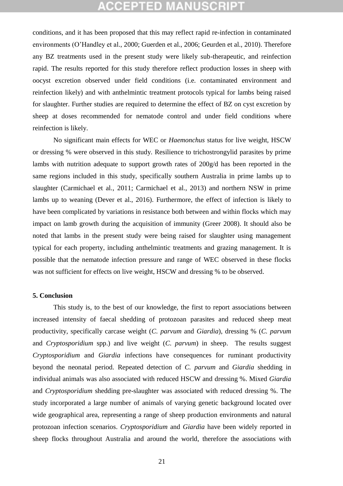# **ACCEPTED MANUSCRIPT**

conditions, and it has been proposed that this may reflect rapid re-infection in contaminated environments (O'Handley et al., 2000; Guerden et al., 2006; Geurden et al., 2010). Therefore any BZ treatments used in the present study were likely sub-therapeutic, and reinfection rapid. The results reported for this study therefore reflect production losses in sheep with oocyst excretion observed under field conditions (i.e. contaminated environment and reinfection likely) and with anthelmintic treatment protocols typical for lambs being raised for slaughter. Further studies are required to determine the effect of BZ on cyst excretion by sheep at doses recommended for nematode control and under field conditions where reinfection is likely.

No significant main effects for WEC or *Haemonchus* status for live weight, HSCW or dressing % were observed in this study. Resilience to trichostrongylid parasites by prime lambs with nutrition adequate to support growth rates of 200g/d has been reported in the same regions included in this study, specifically southern Australia in prime lambs up to slaughter (Carmichael et al., 2011; Carmichael et al., 2013) and northern NSW in prime lambs up to weaning (Dever et al., 2016). Furthermore, the effect of infection is likely to have been complicated by variations in resistance both between and within flocks which may impact on lamb growth during the acquisition of immunity (Greer 2008). It should also be noted that lambs in the present study were being raised for slaughter using management typical for each property, including anthelmintic treatments and grazing management. It is possible that the nematode infection pressure and range of WEC observed in these flocks was not sufficient for effects on live weight, HSCW and dressing % to be observed.

### **5. Conclusion**

This study is, to the best of our knowledge, the first to report associations between increased intensity of faecal shedding of protozoan parasites and reduced sheep meat productivity, specifically carcase weight (*C. parvum* and *Giardia*), dressing % (*C. parvum* and *Cryptosporidium* spp.) and live weight (*C. parvum*) in sheep. The results suggest *Cryptosporidium* and *Giardia* infections have consequences for ruminant productivity beyond the neonatal period. Repeated detection of *C. parvum* and *Giardia* shedding in individual animals was also associated with reduced HSCW and dressing %. Mixed *Giardia* and *Cryptosporidium* shedding pre-slaughter was associated with reduced dressing %. The study incorporated a large number of animals of varying genetic background located over wide geographical area, representing a range of sheep production environments and natural protozoan infection scenarios. *Cryptosporidium* and *Giardia* have been widely reported in sheep flocks throughout Australia and around the world, therefore the associations with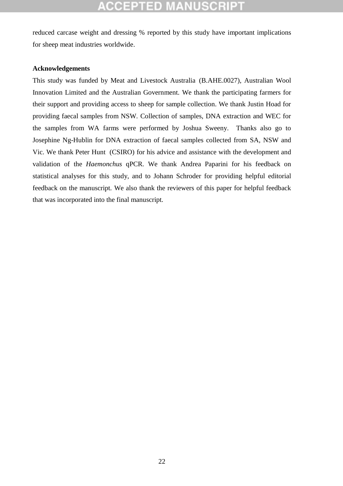reduced carcase weight and dressing % reported by this study have important implications for sheep meat industries worldwide.

## **Acknowledgements**

This study was funded by Meat and Livestock Australia (B.AHE.0027), Australian Wool Innovation Limited and the Australian Government. We thank the participating farmers for their support and providing access to sheep for sample collection. We thank Justin Hoad for providing faecal samples from NSW. Collection of samples, DNA extraction and WEC for the samples from WA farms were performed by Joshua Sweeny. Thanks also go to Josephine Ng-Hublin for DNA extraction of faecal samples collected from SA, NSW and Vic. We thank Peter Hunt (CSIRO) for his advice and assistance with the development and validation of the *Haemonchus* qPCR. We thank Andrea Paparini for his feedback on statistical analyses for this study, and to Johann Schroder for providing helpful editorial feedback on the manuscript. We also thank the reviewers of this paper for helpful feedback that was incorporated into the final manuscript.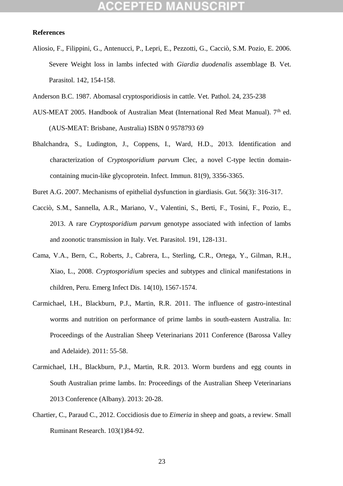### **References**

- Aliosio, F., Filippini, G., Antenucci, P., Lepri, E., Pezzotti, G., Cacciò, S.M. Pozio, E. 2006. Severe Weight loss in lambs infected with *Giardia duodenalis* assemblage B. Vet. Parasitol. 142, 154-158.
- Anderson B.C. 1987. Abomasal cryptosporidiosis in cattle. Vet. Pathol. 24, 235-238
- AUS-MEAT 2005. Handbook of Australian Meat (International Red Meat Manual).  $7<sup>th</sup>$  ed. (AUS-MEAT: Brisbane, Australia) ISBN 0 9578793 69
- Bhalchandra, S., Ludington, J., Coppens, I., Ward, H.D., 2013. Identification and characterization of *Cryptosporidium parvum* Clec, a novel C-type lectin domaincontaining mucin-like glycoprotein. Infect. Immun. 81(9), 3356-3365.
- Buret A.G. 2007. Mechanisms of epithelial dysfunction in giardiasis. Gut. 56(3): 316-317.
- Cacciò, S.M., Sannella, A.R., Mariano, V., Valentini, S., Berti, F., Tosini, F., Pozio, E., 2013. A rare *Cryptosporidium parvum* genotype associated with infection of lambs and zoonotic transmission in Italy. Vet. Parasitol. 191, 128-131.
- Cama, V.A., Bern, C., Roberts, J., Cabrera, L., Sterling, C.R., Ortega, Y., Gilman, R.H., Xiao, L., 2008. *Cryptosporidium* species and subtypes and clinical manifestations in children, Peru. Emerg Infect Dis. 14(10), 1567-1574.
- Carmichael, I.H., Blackburn, P.J., Martin, R.R. 2011. The influence of gastro-intestinal worms and nutrition on performance of prime lambs in south-eastern Australia. In: Proceedings of the Australian Sheep Veterinarians 2011 Conference (Barossa Valley and Adelaide). 2011: 55-58.
- Carmichael, I.H., Blackburn, P.J., Martin, R.R. 2013. Worm burdens and egg counts in South Australian prime lambs. In: Proceedings of the Australian Sheep Veterinarians 2013 Conference (Albany). 2013: 20-28.
- Chartier, C., Paraud C., 2012. Coccidiosis due to *Eimeria* in sheep and goats, a review. Small Ruminant Research. 103(1)84-92.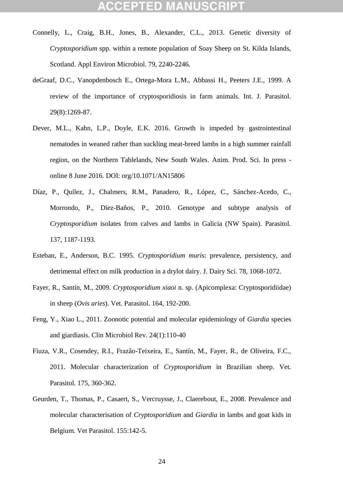- Connelly, L., Craig, B.H., Jones, B., Alexander, C.L., 2013. Genetic diversity of *Cryptosporidium* spp. within a remote population of Soay Sheep on St. Kilda Islands, Scotland. Appl Environ Microbiol. 79, 2240-2246.
- deGraaf, D.C., Vanopdenbosch E., Ortega-Mora L.M., Abbassi H., Peeters J.E., 1999. A review of the importance of cryptosporidiosis in farm animals. Int. J. Parasitol. 29(8):1269-87.
- Dever, M.L., Kahn, L.P., Doyle, E.K. 2016. Growth is impeded by gastrointestinal nematodes in weaned rather than suckling meat-breed lambs in a high summer rainfall region, on the Northern Tablelands, New South Wales. Anim. Prod. Sci. In press online 8 June 2016. DOI: org/10.1071/AN15806
- Díaz, P., Quílez, J., Chalmers, R.M., Panadero, R., López, C., Sánchez-Acedo, C., Morrondo, P., Díez-Baños, P., 2010. Genotype and subtype analysis of *Cryptosporidium* isolates from calves and lambs in Galicia (NW Spain). Parasitol. 137, 1187-1193.
- Esteban, E., Anderson, B.C. 1995. *Cryptosporidium muri*s: prevalence, persistency, and detrimental effect on milk production in a drylot dairy. J. Dairy Sci. 78, 1068-1072.
- Fayer, R., Santín, M., 2009. *Cryptosporidium xiaoi* n. sp. (Apicomplexa: Cryptosporidiidae) in sheep (*Ovis aries*). Vet. Parasitol. 164, 192-200.
- Feng, Y., Xiao L., 2011. Zoonotic potential and molecular epidemiology of *Giardia* species and giardiasis. Clin Microbiol Rev. 24(1):110-40
- Fiuza, V.R., Cosendey, R.I., Frazão-Teixeira, E., Santín, M., Fayer, R., de Oliveira, F.C., 2011. Molecular characterization of *Cryptosporidium* in Brazilian sheep. Vet. Parasitol. 175, 360-362.
- Geurden, T., Thomas, P., Casaert, S., Vercruysse, J., Claerebout, E., 2008. Prevalence and molecular characterisation of *Cryptosporidium* and *Giardia* in lambs and goat kids in Belgium. Vet Parasitol. 155:142-5.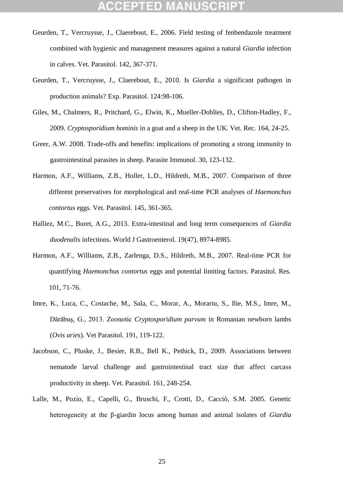- Geurden, T., Vercruysse, J., Claerebout, E., 2006. Field testing of fenbendazole treatment combined with hygienic and management measures against a natural *Giardia* infection in calves. Vet. Parasitol. 142, 367-371.
- Geurden, T., Vercruysse, J., Claerebout, E., 2010. Is *Giardia* a significant pathogen in production animals? Exp. Parasitol. 124:98-106.
- Giles, M., Chalmers, R., Pritchard, G., Elwin, K., Mueller-Doblies, D., Clifton-Hadley, F., 2009. *Cryptosporidium hominis* in a goat and a sheep in the UK. Vet. Rec. 164, 24-25.
- Greer, A.W. 2008. Trade-offs and benefits: implications of promoting a strong immunity to gastrointestinal parasites in sheep. Parasite Immunol. 30, 123-132.
- Harmon, A.F., Williams, Z.B., Holler, L.D., Hildreth, M.B., 2007. Comparison of three different preservatives for morphological and real-time PCR analyses of *Haemonchus contortus* eggs. Vet. Parasitol. 145, 361-365.
- Halliez, M.C., Buret, A.G., 2013. Extra-intestinal and long term consequences of *Giardia duodenalis* infections. World J Gastroenterol. 19(47), 8974-8985.
- Harmon, A.F., Williams, Z.B., Zarlenga, D.S., Hildreth, M.B., 2007. Real-time PCR for quantifying *Haemonchus contortus* eggs and potential limiting factors. Parasitol. Res. 101, 71-76.
- Imre, K., Luca, C., Costache, M., Sala, C., Morar, A., Morariu, S., Ilie, M.S., Imre, M., Dărăbuş, G., 2013. Zoonotic *Cryptosporidium parvum* in Romanian newborn lambs (*Ovis aries*). Vet Parasitol. 191, 119-122.
- Jacobson, C., Pluske, J., Besier, R.B., Bell K., Pethick, D., 2009. Associations between nematode larval challenge and gastrointestinal tract size that affect carcass productivity in sheep. Vet. Parasitol. 161, 248-254.
- Lalle, M., Pozio, E., Capelli, G., Bruschi, F., Crotti, D., Cacciò, S.M. 2005. Genetic heterogeneity at the β-giardin locus among human and animal isolates of *Giardia*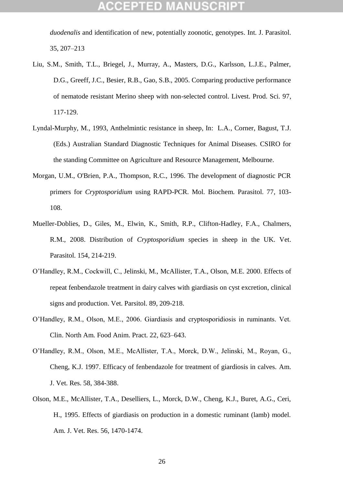*duodenalis* and identification of new, potentially zoonotic, genotypes. Int. J. Parasitol. 35, 207–213

- Liu, S.M., Smith, T.L., Briegel, J., Murray, A., Masters, D.G., Karlsson, L.J.E., Palmer, D.G., Greeff, J.C., Besier, R.B., Gao, S.B., 2005. Comparing productive performance of nematode resistant Merino sheep with non-selected control. Livest. Prod. Sci. 97, 117-129.
- Lyndal-Murphy, M., 1993, Anthelmintic resistance in sheep, In: L.A., Corner, Bagust, T.J. (Eds.) Australian Standard Diagnostic Techniques for Animal Diseases. CSIRO for the standing Committee on Agriculture and Resource Management, Melbourne.
- Morgan, U.M., O'Brien, P.A., Thompson, R.C., 1996. The development of diagnostic PCR primers for *Cryptosporidium* using RAPD-PCR. Mol. Biochem. Parasitol. 77, 103- 108.
- [Mueller-Doblies, D., Giles,](http://www.ncbi.nlm.nih.gov/pubmed/18468799?ordinalpos=4&itool=EntrezSystem2.PEntrez.Pubmed.Pubmed_ResultsPanel.Pubmed_RVDocSum) M., Elwin, K., Smith, R.P., Clifton-Hadley, F.A., Chalmers, [R.M.,](http://www.ncbi.nlm.nih.gov/pubmed/18468799?ordinalpos=4&itool=EntrezSystem2.PEntrez.Pubmed.Pubmed_ResultsPanel.Pubmed_RVDocSum) 2008. Distribution of *Cryptosporidium* species in sheep in the UK. Vet. Parasitol. 154, 214-219.
- O'Handley, R.M., Cockwill, C., Jelinski, M., McAllister, T.A., Olson, M.E. 2000. Effects of repeat fenbendazole treatment in dairy calves with giardiasis on cyst excretion, clinical signs and production. Vet. Parsitol. 89, 209-218.
- O'Handley, R.M., Olson, M.E., 2006. Giardiasis and cryptosporidiosis in ruminants. Vet. Clin. North Am. Food Anim. Pract. 22, 623–643.
- O'Handley, R.M., Olson, M.E., McAllister, T.A., Morck, D.W., Jelinski, M., Royan, G., Cheng, K.J. 1997. Efficacy of fenbendazole for treatment of giardiosis in calves. Am. J. Vet. Res. 58, 384-388.
- Olson, M.E., McAllister, T.A., Deselliers, L., Morck, D.W., Cheng, K.J., Buret, A.G., Ceri, H., 1995. Effects of giardiasis on production in a domestic ruminant (lamb) model. Am. J. Vet. Res. 56, 1470-1474.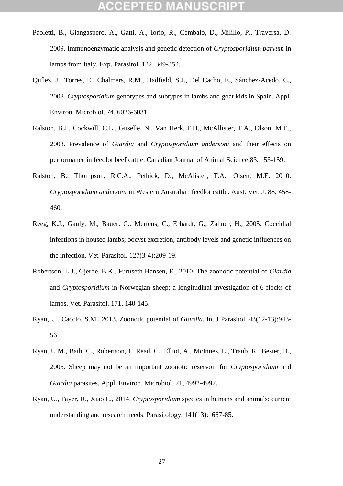- Paoletti, B., Giangaspero, A., Gatti, A., Iorio, R., Cembalo, D., Milillo, P., Traversa, D. 2009. Immunoenzymatic analysis and genetic detection of *Cryptosporidium parvum* in lambs from Italy. Exp. Parasitol. 122, 349-352.
- Quílez, J., Torres, E., Chalmers, R.M., Hadfield, S.J., Del Cacho, E., Sánchez-Acedo, C., 2008. *Cryptosporidium* genotypes and subtypes in lambs and goat kids in Spain. Appl. Environ. Microbiol. 74, 6026-6031.
- Ralston, B.J., Cockwill, C.L., Guselle, N., Van Herk, F.H., McAllister, T.A., Olson, M.E., 2003. Prevalence of *Giardia* and *Cryptosporidium andersoni* and their effects on performance in feedlot beef cattle. Canadian Journal of Animal Science 83, 153-159.
- Ralston, B., Thompson, R.C.A., Pethick, D., McAlister, T.A., Olsen, M.E. 2010*. Cryptosporidium andersoni* in Western Australian feedlot cattle. Aust. Vet. J. 88, 458- 460.
- Reeg, K.J., Gauly, M., Bauer, C., Mertens, C., Erhardt, G., Zahner, H., 2005. Coccidial infections in housed lambs; oocyst excretion, antibody levels and genetic influences on the infection. Vet. Parasitol. 127(3-4):209-19.
- Robertson, L.J., Gjerde, B.K., Furuseth Hansen, E., 2010. The zoonotic potential of *Giardia* and *Cryptosporidium* in Norwegian sheep: a longitudinal investigation of 6 flocks of lambs. Vet. Parasitol. 171, 140-145.
- Ryan, U., Caccio, S.M., 2013. Zoonotic potential of *Giardia*. Int J Parasitol. 43(12-13):943- 56
- Ryan, U.M., Bath, C., Robertson, I., Read, C., Elliot, A., McInnes, L., Traub, R., Besier, B., 2005. Sheep may not be an important zoonotic reservoir for *Cryptosporidium* and *Giardia* parasites. Appl. Environ. Microbiol. 71, 4992-4997.
- Ryan, U., Fayer, R., Xiao L., 2014. *Cryptosporidium* species in humans and animals: current understanding and research needs. Parasitology. 141(13):1667-85.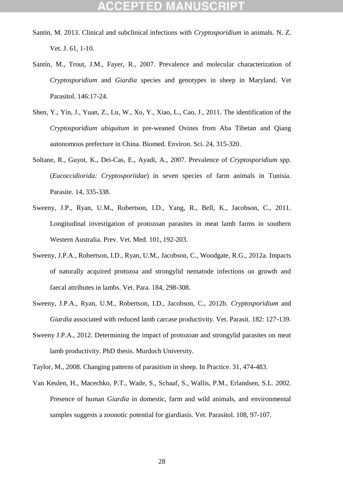- Santin, M. 2013. Clinical and subclinical infections with *Cryptosporidium* in animals. N. Z. Vet. J. 61, 1-10.
- Santín, M., Trout, J.M., Fayer, R., 2007. Prevalence and molecular characterization of *Cryptosporidium* and *Giardia* species and genotypes in sheep in Maryland. Vet Parasitol. 146:17-24.
- Shen, Y., Yin, J., Yuan, Z., Lu, W., Xu, Y., Xiao, L., Cao, J., 2011. The identification of the *Cryptosporidium ubiquitum* in pre-weaned Ovines from Aba Tibetan and Qiang autonomous prefecture in China. Biomed. Environ. Sci. 24, 315-320.
- Soltane, R., Guyot, K., Dei-Cas, E., Ayadi, A., 2007. Prevalence of *Cryptosporidium* spp. (*Eucoccidiorida: Cryptosporiidae*) in seven species of farm animals in Tunisia. Parasite. 14, 335-338.
- Sweeny, J.P., Ryan, U.M., Robertson, I.D., Yang, R., Bell, K., Jacobson, C., 2011. Longitudinal investigation of protozoan parasites in meat lamb farms in southern Western Australia. Prev. Vet. Med. 101, 192-203.
- Sweeny, J.P.A., Robertson, I.D., Ryan, U.M., Jacobson, C., Woodgate, R.G., 2012a. Impacts of naturally acquired protozoa and strongylid nematode infections on growth and faecal attributes in lambs. Vet. Para. 184, 298-308.
- Sweeny, J.P.A., Ryan, U.M., Robertson, I.D., Jacobson, C., 2012b. *Cryptosporidium* and *Giardia* associated with reduced lamb carcase productivity. Vet. Parasit. 182: 127-139.
- Sweeny J.P.A., 2012. Determining the impact of protozoan and strongylid parasites on meat lamb productivity. PhD thesis. Murdoch University.

Taylor, M., 2008. Changing patterns of parasitism in sheep. In Practice. 31, 474-483.

Van Keulen, H., Macechko, P.T., Wade, S., Schaaf, S., Wallis, P.M., Erlandsen, S.L. 2002. Presence of human *Giardia* in domestic, farm and wild animals, and environmental samples suggests a zoonotic potential for giardiasis. Vet. Parasitol. 108, 97-107.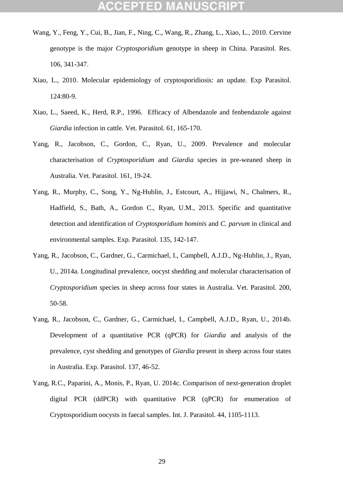- Wang, Y., Feng, Y., Cui, B., Jian, F., Ning, C., Wang, R., Zhang, L., Xiao, L., 2010. Cervine genotype is the major *Cryptosporidium* genotype in sheep in China. Parasitol. Res. 106, 341-347.
- Xiao, L., 2010. Molecular epidemiology of cryptosporidiosis: an update. Exp Parasitol. 124:80-9.
- Xiao, L., Saeed, K., Herd, R.P., 1996. Efficacy of Albendazole and fenbendazole against *Giardia* infection in cattle. Vet. Parasitol. 61, 165-170.
- Yang, R., Jacobson, C., Gordon, C., Ryan, U., 2009. Prevalence and molecular characterisation of *Cryptosporidium* and *Giardia* species in pre-weaned sheep in Australia. Vet. Parasitol. 161, 19-24.
- Yang, R., Murphy, C., Song, Y., Ng-Hublin, J., Estcourt, A., Hijjawi, N., Chalmers, R., Hadfield, S., Bath, A., Gordon C., Ryan, U.M., 2013. Specific and quantitative detection and identification of *Cryptosporidium hominis* and *C. parvum* in clinical and environmental samples. Exp. Parasitol. 135, 142-147.
- Yang, R., Jacobson, C., Gardner, G., Carmichael, I., Campbell, A.J.D., Ng-Hublin, J., Ryan, U., 2014a. Longitudinal prevalence, oocyst shedding and molecular characterisation of *Cryptosporidium* species in sheep across four states in Australia. Vet. Parasitol. 200, 50-58.
- Yang, R., Jacobson, C., Gardner, G., Carmichael, I., Campbell, A.J.D., Ryan, U., 2014b. Development of a quantitative PCR (qPCR) for *Giardia* and analysis of the prevalence, cyst shedding and genotypes of *Giardia* present in sheep across four states in Australia. Exp. Parasitol. 137, 46-52.
- Yang, R.C., Paparini, A., Monis, P., Ryan, U. 2014c. Comparison of next-generation droplet digital PCR (ddPCR) with quantitative PCR (qPCR) for enumeration of Cryptosporidium oocysts in faecal samples. Int. J. Parasitol. 44, 1105-1113.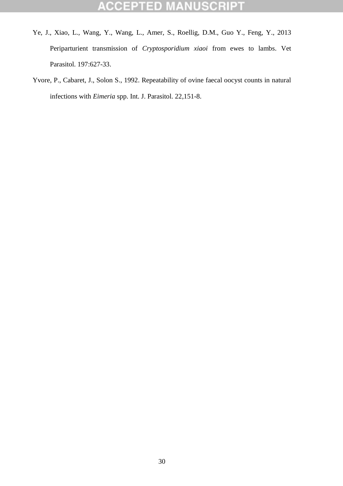### **ACCEPTED ANUSCRIPT** W

- Ye, J., Xiao, L., Wang, Y., Wang, L., Amer, S., Roellig, D.M., Guo Y., Feng, Y., 2013 Periparturient transmission of *Cryptosporidium xiaoi* from ewes to lambs. Vet Parasitol. 197:627-33.
- Yvore, P., Cabaret, J., Solon S., 1992. Repeatability of ovine faecal oocyst counts in natural infections with *Eimeria* spp. Int. J. Parasitol. 22,151-8.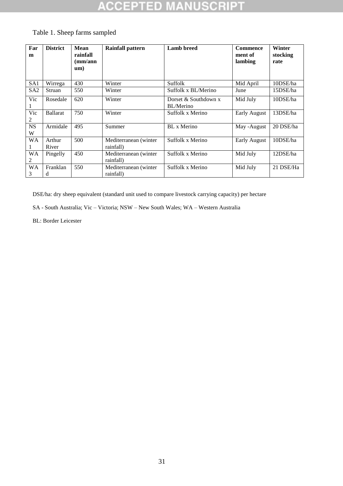### **\USCRIP1** ED J. CCE . .

| Far<br>m        | <b>District</b> | Mean<br>rainfall<br>$\rm(mm/ann)$<br>um) | <b>Rainfall pattern</b>             | <b>Lamb</b> breed                 | <b>Commence</b><br>ment of<br>lambing | Winter<br>stocking<br>rate |
|-----------------|-----------------|------------------------------------------|-------------------------------------|-----------------------------------|---------------------------------------|----------------------------|
| SA1             | Wirrega         | 430                                      | Winter                              | Suffolk                           | Mid April                             | 10DSE/ha                   |
| SA <sub>2</sub> | Struan          | 550                                      | Winter                              | Suffolk x BL/Merino               | June                                  | 15DSE/ha                   |
| Vic             | Rosedale        | 620                                      | Winter                              | Dorset & Southdown x<br>BL/Merino | Mid July                              | 10DSE/ha                   |
| Vic<br>2        | <b>Ballarat</b> | 750                                      | Winter                              | Suffolk x Merino                  | <b>Early August</b>                   | 13DSE/ha                   |
| <b>NS</b><br>W  | Armidale        | 495                                      | Summer                              | BL x Merino                       | May - August                          | 20 DSE/ha                  |
| <b>WA</b>       | Arthur<br>River | 500                                      | Mediterranean (winter)<br>rainfall) | Suffolk x Merino                  | <b>Early August</b>                   | 10DSE/ha                   |
| <b>WA</b><br>2  | Pingelly        | 450                                      | Mediterranean (winter)<br>rainfall) | Suffolk x Merino                  | Mid July                              | 12DSE/ha                   |
| <b>WA</b><br>3  | Franklan<br>d   | 550                                      | Mediterranean (winter<br>rainfall)  | Suffolk x Merino                  | Mid July                              | 21 DSE/Ha                  |

## Table 1. Sheep farms sampled

DSE/ha: dry sheep equivalent (standard unit used to compare livestock carrying capacity) per hectare

SA - South Australia; Vic – Victoria; NSW – New South Wales; WA – Western Australia

BL: Border Leicester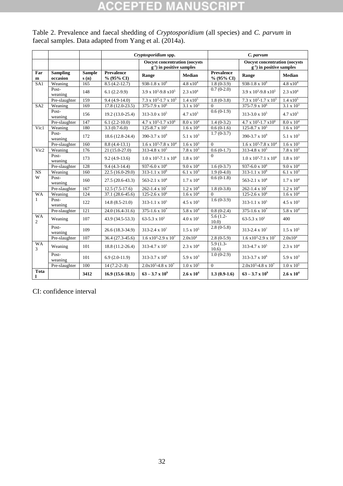# **ACCEPTED MANUSCRIPT**

|                             |                             |                       | Cryptosporidium spp.                                                    |                                     |                     | C. parvum                                                               |                                     |                       |
|-----------------------------|-----------------------------|-----------------------|-------------------------------------------------------------------------|-------------------------------------|---------------------|-------------------------------------------------------------------------|-------------------------------------|-----------------------|
|                             |                             |                       | <b>Oocyst concentration (oocysts)</b><br>$g^{-1}$ ) in positive samples |                                     |                     | <b>Oocyst concentration (oocysts)</b><br>$g^{-1}$ ) in positive samples |                                     |                       |
| Far<br>$\mathbf{m}$         | <b>Sampling</b><br>occasion | <b>Sample</b><br>s(n) | <b>Prevalence</b><br>$% (95\% CI)$                                      | Range                               | Median              | <b>Prevalence</b><br>% (95% CI)                                         | Range                               | <b>Median</b>         |
| SA1                         | Weaning                     | 165                   | $8.5(4.2-12.7)$                                                         | 938-1.8 x $10^6$                    | $4.8 \times 10^{4}$ | $1.8(0-3.9)$                                                            | 938-1.8 x $10^6$                    | $4.8 \times 10^{4}$   |
|                             | Post-<br>weaning            | 148                   | $6.1(2.2-9.9)$                                                          | $3.9 \times 10^3 - 9.8 \times 10^5$ | $2.3 \times 10^{4}$ | $0.7(0-2.0)$                                                            | $3.9 \times 10^3 - 9.8 \times 10^5$ | $2.3 \times 10^{4}$   |
|                             | Pre-slaughter               | 159                   | $9.4(4.9-14.0)$                                                         | $7.3 \times 10^3 - 1.7 \times 10^5$ | $1.4 \times 10^5$   | $1.8(0-3.8)$                                                            | $7.3 \times 10^3 - 1.7 \times 10^5$ | $1.4 \times 10^5$     |
| SA2                         | Weaning                     | 169                   | $17.8(12.0-23.5)$                                                       | 375-7.9 x $10^6$                    | $3.1 \times 10^3$   | $\Omega$                                                                | $375 - 7.9 \times 10^6$             | $3.1 \times 10^3$     |
|                             | Post-<br>weaning            | 156                   | 19.2 (13.0-25.4)                                                        | $313 - 3.0 \times 10^5$             | $4.7 \times 10^3$   | $0.6(0-1.9)$                                                            | $313 - 3.0 \times 10^5$             | $4.7 \times 10^3$     |
|                             | Pre-slaughter               | 147                   | $6.1(2.2-10.0)$                                                         | $4.7 \times 10^3 - 1.7 \times 10^6$ | $8.0 \times 10^{4}$ | $1.4(0-3.2)$                                                            | $4.7 \times 10^3 - 1.7 \times 10^6$ | $8.0 \times 10^{4}$   |
| Vic1                        | Weaning                     | 180                   | $3.3(0.7-6.0)$                                                          | $125 - 8.7 \times 10^5$             | $1.6 \times 10^{4}$ | $0.6(0-1.6)$                                                            | $125 - 8.7 \times 10^5$             | $1.6 \times 10^{4}$   |
|                             | Post-<br>weaning            | 172                   | 18.6 (12.8-24.4)                                                        | 390-3.7 x $10^9$                    | $5.1 \times 10^3$   | $1.7(0-3.7)$                                                            | 390-3.7 x $10^9$                    | 5.1 x $10^3$          |
|                             | Pre-slaughter               | 160                   | $8.8(4.4-13.1)$                                                         | $1.6 \times 10^3$ -7.8 x $10^4$     | $1.6 \times 10^3$   | $\Omega$                                                                | $1.6 \times 10^3$ -7.8 x $10^4$     | $1.6 \times 10^3$     |
| Vic2                        | Weaning                     | 176                   | $21(15.0-27.0)$                                                         | $313 - 4.8 \times 10^5$             | $7.8 \times 10^3$   | $0.6(0-1.7)$                                                            | $313 - 4.8 \times 10^5$             | $7.8 \times 10^3$     |
|                             | Post-<br>weaning            | 173                   | $9.2(4.9-13.6)$                                                         | $1.0 \times 10^3 - 7.1 \times 10^6$ | $1.8 \times 10^3$   | $\Omega$                                                                | $1.0 \times 10^3 - 7.1 \times 10^6$ | $1.8 \times 10^3$     |
|                             | Pre-slaughter               | 128                   | $9.4(4.3-14.4)$                                                         | 937-6.0 x $10^6$                    | $9.0 \times 10^{4}$ | $1.6(0-3.7)$                                                            | 937-6.0 x $10^6$                    | 9.0 x 10 <sup>4</sup> |
| $\overline{\text{NS}}$      | Weaning                     | 160                   | $22.5(16.0-29.0)$                                                       | 313-1.1 x $10^6$                    | $6.1 \times 10^3$   | $1.9(0-4.0)$                                                            | $313 - 1.1 \times 10^6$             | 6.1 x $10^3$          |
| W                           | Post-<br>weaning            | 160                   | $27.5(20.6-43.3)$                                                       | 563-2.1 x $10^8$                    | $1.7 \times 10^4$   | $0.6(0-1.8)$                                                            | 563-2.1 x $10^8$                    | $1.7 \times 10^{4}$   |
|                             | Pre-slaughter               | 167                   | $12.5(7.5-17.6)$                                                        | 262-1.4 x $10^7$                    | $1.2 \times 10^{4}$ | $1.8(0-3.8)$                                                            | 262-1.4 x $10^7$                    | $1.2 \times 10^{4}$   |
| <b>WA</b>                   | Weaning                     | 124                   | 37.1 (28.6-45.6)                                                        | 125-2.6 x $10^6$                    | $1.6 \times 10^{4}$ | $\Omega$                                                                | $125 - 2.6 \times 10^6$             | $1.6 \times 10^{4}$   |
| $\mathbf{1}$                | Post-<br>weaning            | 122                   | $14.8(8.5-21.0)$                                                        | $313 - 1.1 \times 10^5$             | $4.5 \times 10^3$   | $1.6(0-3.9)$                                                            | $313 - 1.1 \times 10^5$             | $4.5 \times 10^3$     |
|                             | Pre-slaughter               | 121                   | 24.0 (16.4-31.6)                                                        | $375 - 1.6 \times 10^7$             | $5.8 \times 10^{4}$ | $0.8(0-2.4)$                                                            | $375 - 1.6 \times 10^7$             | $5.8 \times 10^4$     |
| <b>WA</b><br>$\overline{2}$ | Weaning                     | 107                   | 43.9 (34.5-53.3)                                                        | $63-5.3 \times 10^3$                | $4.0 \times 10^{1}$ | $5.6(1.2 -$<br>10.0                                                     | 63-5.3 x $10^3$                     | 400                   |
|                             | Post-<br>weaning            | 109                   | 26.6 (18.3-34.9)                                                        | $313 - 2.4 \times 10^7$             | $1.5 \times 10^5$   | $2.8(0-5.8)$                                                            | $313 - 2.4 \times 10^7$             | $1.5 \times 10^5$     |
|                             | Pre-slaughter               | 107                   | 36.4 (27.3-45.6)                                                        | $1.6 \times 10^3 - 2.9 \times 10^7$ | $2.0x10^4$          | $2.8(0-5.9)$                                                            | $1.6 \times 10^3 - 2.9 \times 10^7$ | $2.0x10^4$            |
| <b>WA</b><br>3              | Weaning                     | 101                   | 18.8 (11.2-26.4)                                                        | 313-4.7 x $10^5$                    | $2.3 \ge 10^4$      | $5.9(1.3-$<br>10.6)                                                     | $313 - 4.7 \times 10^5$             | $2.3 \ge 10^4$        |
|                             | Post-<br>weaning            | 101                   | $6.9(2.0-11.9)$                                                         | $313 - 3.7 \times 10^6$             | $5.9 \times 10^{3}$ | $1.0(0-2.9)$                                                            | $313 - 3.7 \times 10^6$             | $5.9 \times 10^3$     |
|                             | Pre-slaughter               | 100                   | $14(7.2-2-.8)$                                                          | $2.0x10^3 - 4.8x10^7$               | $1.0 \times 10^5$   | $\theta$                                                                | $2.0x10^3 - 4.8x10^7$               | $1.0 \times 10^5$     |
| Tota<br>1                   |                             | 3412                  | $16.9(15.6-18.1)$                                                       | $63 - 3.7 \times 10^9$              | $2.6 \times 10^{4}$ | $1.3(0.9-1.6)$                                                          | $63 - 3.7 \times 10^9$              | $2.6 \times 10^{4}$   |

Table 2. Prevalence and faecal shedding of *Cryptosporidium* (all species) and *C. parvum* in faecal samples. Data adapted from Yang et al. (2014a).

CI: confidence interval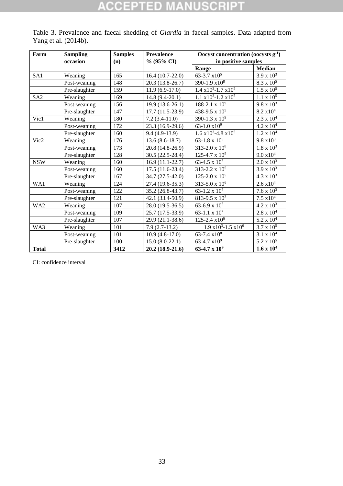# **ACCEPTED MANUSCRIP1**

| Yang et al. $(2014b)$ . |                             |                       |                                    |                                                             |                     |  |
|-------------------------|-----------------------------|-----------------------|------------------------------------|-------------------------------------------------------------|---------------------|--|
| Farm                    | <b>Sampling</b><br>occasion | <b>Samples</b><br>(n) | <b>Prevalence</b><br>$\%$ (95% CI) | Oocyst concentration (oocysts $g1$ )<br>in positive samples |                     |  |
|                         |                             |                       |                                    | Range                                                       | <b>Median</b>       |  |
| SA1                     | Weaning                     | 165                   | $16.4(10.7-22.0)$                  | $63-3.7 \times 10^5$                                        | $3.9 \times 10^3$   |  |
|                         | Post-weaning                | 148                   | $20.3(13.8-26.7)$                  | 390-1.9 $x10^8$                                             | $8.3 \times 10^5$   |  |
|                         | Pre-slaughter               | 159                   | $11.9(6.9-17.0)$                   | $1.4 \times 10^3 - 1.7 \times 10^5$                         | $1.5 \times 10^5$   |  |
| SA2                     | Weaning                     | 169                   | $14.8(9.4-20.1)$                   | $1.1 \times 10^3 - 1.2 \times 10^5$                         | $1.1 \times 10^5$   |  |
|                         | Post-weaning                | 156                   | $19.9(13.6-26.1)$                  | 188-2.1 x $10^9$                                            | $9.8 \times 10^3$   |  |
|                         | Pre-slaughter               | 147                   | $17.7(11.5-23.9)$                  | 438-9.5 x $10^5$                                            | $8.2 \times 10^4$   |  |
| Vic1                    | Weaning                     | 180                   | $7.2(3.4-11.0)$                    | 390-1.3 x $10^9$                                            | $2.3 \times 10^{4}$ |  |
|                         | Post-weaning                | 172                   | $23.3(16.9-29.6)$                  | $63-1.0 \times 10^9$                                        | $4.2 \times 10^4$   |  |

Vic2 | Weaning | 176 | 13.6 (8.6-18.7) | 63-1.8 x  $10^5$  | 9.8 x  $10^3$ 

WA1 Weaning 124 27.4 (19.6-35.3) 313-5.0 x 10<sup>6</sup> 2.6 x10<sup>4</sup>

WA2 Weaning 107 28.0 (19.5-36.5) 63-6.9 x 10<sup>5</sup> 4.2 x 10<sup>3</sup>

Pre-slaughter 128 30.5 (22.5-28.4) 125-4.7 x 10<br>Weaning 160 16.9 (11.1-22.7) 63-4.5 x 10<sup>5</sup> NSW Weaning 160 16.9 (11.1-22.7) 63-4.5 x 10<sup>5</sup> 2.0 x 10<sup>3</sup>

Pre-slaughter 160 9.4 (4.9-13.9)

WA3 Weaning 101 7.9 (2.7-13.2)

Post-weaning 173 20.8 (14.8-26.9) 313-2.0 x 10<sup>8</sup> 1.8 x 10<sup>3</sup><br>Pre-slaughter 128 30.5 (22.5-28.4) 125-4.7 x 10<sup>5</sup> 9.0 x 10<sup>4</sup>

Post-weaning 160 17.5 (11.6-23.4) 313-2.2 x 10<sup>5</sup> 3.9 x 10<sup>3</sup> Pre-slaughter 167 34.7 (27.5-42.0) 125-2.0 x 10<sup>5</sup> 4.3 x 10<sup>3</sup>

Post-weaning 122  $35.2 (26.8-43.7)$  63-1.2 x 10<sup>5</sup> 7.6 x 10<sup>3</sup> Pre-slaughter 121 42.1 (33.4-50.9) 813-9.5 x 10<sup>3</sup> 7.5 x10<sup>4</sup>

Post-weaning 109 25.7 (17.5-33.9) 63-1.1 x 10<sup>7</sup> 2.8 x 10<sup>4</sup> Pre-slaughter 107 29.9 (21.1-38.6) 125-2.4 x10<sup>6</sup> 5.2 x 10<sup>4</sup>

Post-weaning 101 10.9 (4.8-17.0) 63-7.4 x10<sup>8</sup> 3.1 x 10<sup>4</sup> Pre-slaughter 100 15.0 (8.0-22.1) 63-4.7 x10<sup>9</sup> 5.2 x 10<sup>5</sup>

1.6  $x10^3 - 4.8 x10^5$  1.2  $x 10^4$ 

1.9  $x10^3$ -1.5  $x10^6$  3.7  $x10^5$ 

Table 3. Prevalence and faecal shedding of *Giardia* in faecal samples. Data adapted from

**Total 3412 20.2 (18.9-21.6) 63-4.7 x 10<sup>9</sup> 1.6 x 10**<sup>4</sup> CI: confidence interval

33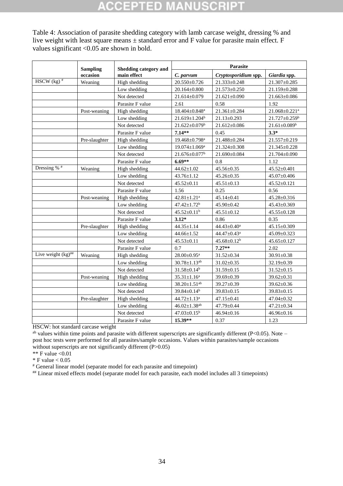# Ð

Table 4: Association of parasite shedding category with lamb carcase weight, dressing % and live weight with least square means ± standard error and F value for parasite main effect. F values significant <0.05 are shown in bold.

| <b>Sampling</b>                  |               | <b>Shedding category and</b> | Parasite                        |                         |                                 |  |
|----------------------------------|---------------|------------------------------|---------------------------------|-------------------------|---------------------------------|--|
|                                  | occasion      | main effect                  | C. parvum                       | Cryptosporidium spp.    | Giardia spp.                    |  |
| HSCW $(kg)$ <sup>#</sup>         | Weaning       | High shedding                | $20.550 \pm 0.726$              | 21.333±0.248            | $21.307 \pm 0.285$              |  |
|                                  |               | Low shedding                 | $20.164 \pm 0.800$              | 21.573±0.250            | 21.159±0.288                    |  |
|                                  |               | Not detected                 | 21.614±0.079                    | $21.621 \pm 0.090$      | 21.663±0.086                    |  |
|                                  |               | Parasite F value             | 2.61                            | 0.58                    | 1.92                            |  |
|                                  | Post-weaning  | High shedding                | $18.404 \pm 0.848$ <sup>a</sup> | 21.361±0.284            | $21.068 \pm 0.221$ <sup>a</sup> |  |
|                                  |               | Low shedding                 | $21.619 \pm 1.204$ <sup>b</sup> | $21.13 \pm 0.293$       | 21.727±0.259 <sup>b</sup>       |  |
|                                  |               | Not detected                 | $21.622 \pm 0.079$ <sup>b</sup> | 21.612±0.086            | $21.61 \pm 0.089^b$             |  |
|                                  |               | Parasite F value             | $7.14**$                        | 0.45                    | $3.3*$                          |  |
|                                  | Pre-slaughter | High shedding                | 19.468±0.798 <sup>a</sup>       | 21.488±0.284            | $21.557 \pm 0.219$              |  |
|                                  |               | Low shedding                 | $19.074 \pm 1.069^{\mathrm{a}}$ | 21.324±0.308            | 21.345±0.228                    |  |
|                                  |               | Not detected                 | $21.676 \pm 0.077$ <sup>b</sup> | 21.690±0.084            | 21.704±0.090                    |  |
|                                  |               | Parasite F value             | $6.69**$                        | 0.8                     | 1.12                            |  |
| Dressing % $*$                   | Weaning       | High shedding                | $44.62 \pm 1.02$                | 45.56±0.35              | 45.52±0.401                     |  |
|                                  |               | Low shedding                 | 43.76±1.12                      | $45.26 \pm 0.35$        | 45.07±0.406                     |  |
|                                  |               | Not detected                 | $45.52 \pm 0.11$                | $45.51 \pm 0.13$        | $45.52 \pm 0.121$               |  |
|                                  |               | Parasite F value             | 1.56                            | 0.25                    | 0.56                            |  |
|                                  | Post-weaning  | High shedding                | $42.81 \pm 1.21$ <sup>a</sup>   | $45.14 \pm 0.41$        | 45.28±0.316                     |  |
|                                  |               | Low shedding                 | $47.42 \pm 1.72$ <sup>b</sup>   | $45.90 \pm 0.42$        | $45.43 \pm 0.369$               |  |
|                                  |               | Not detected                 | $45.52 \pm 0.11^b$              | $45.51 \pm 0.12$        | 45.55±0.128                     |  |
|                                  |               | Parasite F value             | $3.12*$                         | 0.86                    | 0.35                            |  |
|                                  | Pre-slaughter | High shedding                | $44.35 \pm 1.14$                | 44.43±0.40 <sup>a</sup> | 45.15±0.309                     |  |
|                                  |               | Low shedding                 | 44.66±1.52                      | 44.47±0.43 <sup>a</sup> | 45.09±0.323                     |  |
|                                  |               | Not detected                 | $45.53 \pm 0.11$                | $45.68 \pm 0.12^b$      | 45.65±0.127                     |  |
|                                  |               | Parasite F value             | 0.7                             | $7.27**$                | 2.02                            |  |
| Live weight $(kg)$ <sup>##</sup> | Weaning       | High shedding                | $28.00 \pm 0.95$ <sup>a</sup>   | $31.52 \pm 0.34$        | $30.91 \pm 0.38$                |  |
|                                  |               | Low shedding                 | $30.78 \pm 1.13^{ab}$           | $31.02 \pm 0.35$        | 32.19±0.39                      |  |
|                                  |               | Not detected                 | $31.58 \pm 0.14^b$              | $31.59 \pm 0.15$        | $31.52 \pm 0.15$                |  |
|                                  | Post-weaning  | High shedding                | $35.31 \pm 1.16^a$              | 39.69±0.39              | $39.62 \pm 0.31$                |  |
|                                  |               | Low shedding                 | $38.20 \pm 1.51$ <sup>ab</sup>  | 39.27±0.39              | $39.62 \pm 0.36$                |  |
|                                  |               | Not detected                 | $39.84 \pm 0.14^b$              | 39.83±0.15              | 39.83±0.15                      |  |
|                                  | Pre-slaughter | High shedding                | $44.72 \pm 1.13^a$              | $47.15 \pm 0.41$        | 47.04±0.32                      |  |
|                                  |               | Low shedding                 | $46.02 \pm 1.38$ <sup>ab</sup>  | 47.79±0.44              | $47.21 \pm 0.34$                |  |
|                                  |               | Not detected                 | $47.03 \pm 0.15^b$              | $46.94 \pm 0.16$        | $46.96 \pm 0.16$                |  |
|                                  |               | Parasite F value             | $15.39**$                       | 0.37                    | 1.23                            |  |

HSCW: hot standard carcase weight

 $a<sup>b</sup>$  values within time points and parasite with different superscripts are significantly different (P<0.05). Note – post hoc tests were performed for all parasites/sample occasions. Values within parasites/sample occasions without superscripts are not significantly different (P>0.05)

\*\* F value  $\leq 0.01$ 

 $\,^*$  F value  $< 0.05$ 

# General linear model (separate model for each parasite and timepoint)

## Linear mixed effects model (separate model for each parasite, each model includes all 3 timepoints)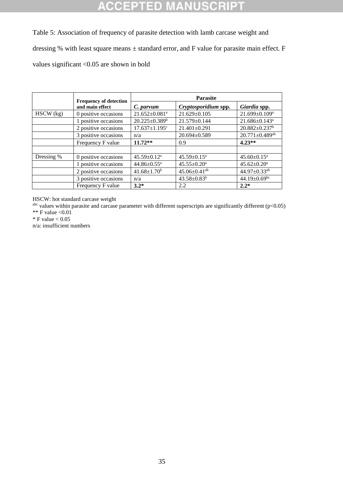### ा CR 10 D

Table 5: Association of frequency of parasite detection with lamb carcase weight and dressing % with least square means ± standard error, and F value for parasite main effect. F values significant <0.05 are shown in bold

|             | <b>Frequency of detection</b> | <b>Parasite</b>                 |                                |                                  |  |
|-------------|-------------------------------|---------------------------------|--------------------------------|----------------------------------|--|
|             | and main effect               | C. parvum                       | Cryptosporidium spp.           | Giardia spp.                     |  |
| $HSCW$ (kg) | 0 positive occasions          | $21.652 \pm 0.081$ <sup>a</sup> | $21.629 \pm 0.105$             | $21.699 \pm 0.109^a$             |  |
|             | 1 positive occasions          | $20.225 \pm 0.389^b$            | 21.579±0.144                   | 21.686±0.143 <sup>a</sup>        |  |
|             | 2 positive occasions          | $17.637 \pm 1.195$ <sup>c</sup> | 21.401±0.291                   | $20.882 \pm 0.237$ <sup>b</sup>  |  |
|             | 3 positive occasions          | n/a                             | $20.694 \pm 0.589$             | $20.771 \pm 0.489$ <sup>ab</sup> |  |
|             | Frequency F value             | $11.72**$                       | 0.9                            | $4.23**$                         |  |
|             |                               |                                 |                                |                                  |  |
| Dressing %  | 0 positive occasions          | $45.59 \pm 0.12^a$              | $45.59 \pm 0.15^a$             | $45.60 \pm 0.15^{\text{a}}$      |  |
|             | 1 positive occasions          | $44.86 \pm 0.55$ <sup>a</sup>   | $45.55 \pm 0.20$ <sup>a</sup>  | $45.62 \pm 0.20^a$               |  |
|             | 2 positive occasions          | $41.68 \pm 1.70^b$              | $45.06 \pm 0.41$ <sup>ab</sup> | 44.97±0.33ab                     |  |
|             | 3 positive occasions          | n/a                             | $43.58 \pm 0.83^b$             | 44.19 $\pm$ 0.69 <sup>bc</sup>   |  |
|             | Frequency F value             | $3.2*$                          | 2.2                            | $2.2*$                           |  |

HSCW: hot standard carcase weight

 $a<sup>abc</sup>$  values within parasite and carcase parameter with different superscripts are significantly different ( $p<0.05$ )

\*\* F value  $< 0.01$  $*$  F value  $< 0.05$ 

n/a: insufficient numbers